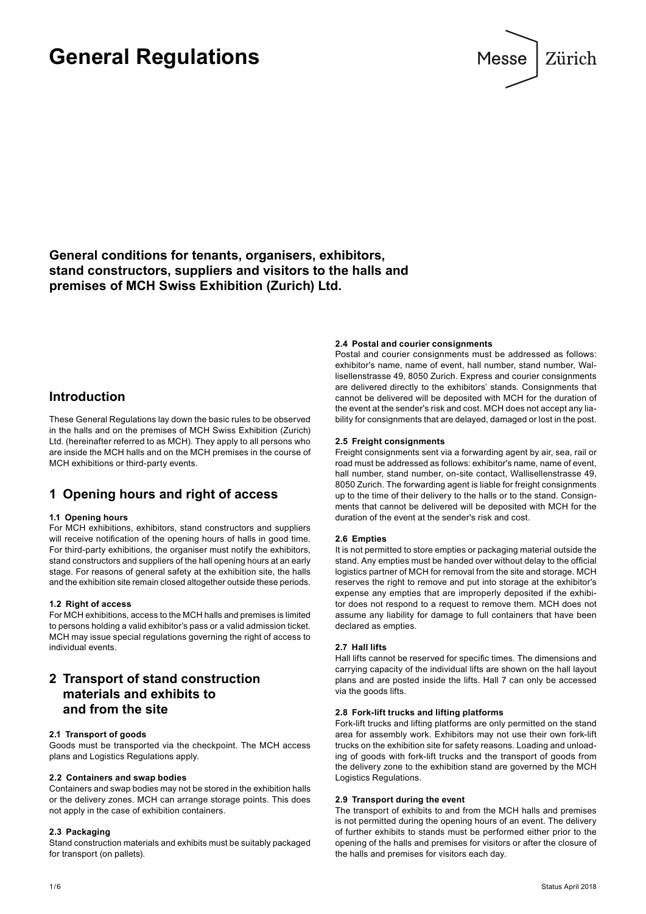# **General Regulations**



**General conditions for tenants, organisers, exhibitors, stand constructors, suppliers and visitors to the halls and premises of MCH Swiss Exhibition (Zurich) Ltd.**

### **Introduction**

These General Regulations lay down the basic rules to be observed in the halls and on the premises of MCH Swiss Exhibition (Zurich) Ltd. (hereinafter referred to as MCH). They apply to all persons who are inside the MCH halls and on the MCH premises in the course of MCH exhibitions or third-party events.

# **1 Opening hours and right of access**

#### **1.1 Opening hours**

For MCH exhibitions, exhibitors, stand constructors and suppliers will receive notification of the opening hours of halls in good time. For third-party exhibitions, the organiser must notify the exhibitors, stand constructors and suppliers of the hall opening hours at an early stage. For reasons of general safety at the exhibition site, the halls and the exhibition site remain closed altogether outside these periods.

#### **1.2 Right of access**

For MCH exhibitions, access to the MCH halls and premises is limited to persons holding a valid exhibitor's pass or a valid admission ticket. MCH may issue special regulations governing the right of access to individual events.

# **2 Transport of stand construction materials and exhibits to and from the site**

#### **2.1 Transport of goods**

Goods must be transported via the checkpoint. The MCH access plans and Logistics Regulations apply.

#### **2.2 Containers and swap bodies**

Containers and swap bodies may not be stored in the exhibition halls or the delivery zones. MCH can arrange storage points. This does not apply in the case of exhibition containers.

#### **2.3 Packaging**

Stand construction materials and exhibits must be suitably packaged for transport (on pallets).

**2.4 Postal and courier consignments**

Postal and courier consignments must be addressed as follows: exhibitor's name, name of event, hall number, stand number, Wallisellenstrasse 49, 8050 Zurich. Express and courier consignments are delivered directly to the exhibitors' stands. Consignments that cannot be delivered will be deposited with MCH for the duration of the event at the sender's risk and cost. MCH does not accept any liability for consignments that are delayed, damaged or lost in the post.

#### **2.5 Freight consignments**

Freight consignments sent via a forwarding agent by air, sea, rail or road must be addressed as follows: exhibitor's name, name of event, hall number, stand number, on-site contact, Wallisellenstrasse 49, 8050 Zurich. The forwarding agent is liable for freight consignments up to the time of their delivery to the halls or to the stand. Consignments that cannot be delivered will be deposited with MCH for the duration of the event at the sender's risk and cost.

#### **2.6 Empties**

It is not permitted to store empties or packaging material outside the stand. Any empties must be handed over without delay to the official logistics partner of MCH for removal from the site and storage. MCH reserves the right to remove and put into storage at the exhibitor's expense any empties that are improperly deposited if the exhibitor does not respond to a request to remove them. MCH does not assume any liability for damage to full containers that have been declared as empties.

#### **2.7 Hall lifts**

Hall lifts cannot be reserved for specific times. The dimensions and carrying capacity of the individual lifts are shown on the hall layout plans and are posted inside the lifts. Hall 7 can only be accessed via the goods lifts.

#### **2.8 Fork-lift trucks and lifting platforms**

Fork-lift trucks and lifting platforms are only permitted on the stand area for assembly work. Exhibitors may not use their own fork-lift trucks on the exhibition site for safety reasons. Loading and unloading of goods with fork-lift trucks and the transport of goods from the delivery zone to the exhibition stand are governed by the MCH Logistics Regulations.

#### **2.9 Transport during the event**

The transport of exhibits to and from the MCH halls and premises is not permitted during the opening hours of an event. The delivery of further exhibits to stands must be performed either prior to the opening of the halls and premises for visitors or after the closure of the halls and premises for visitors each day.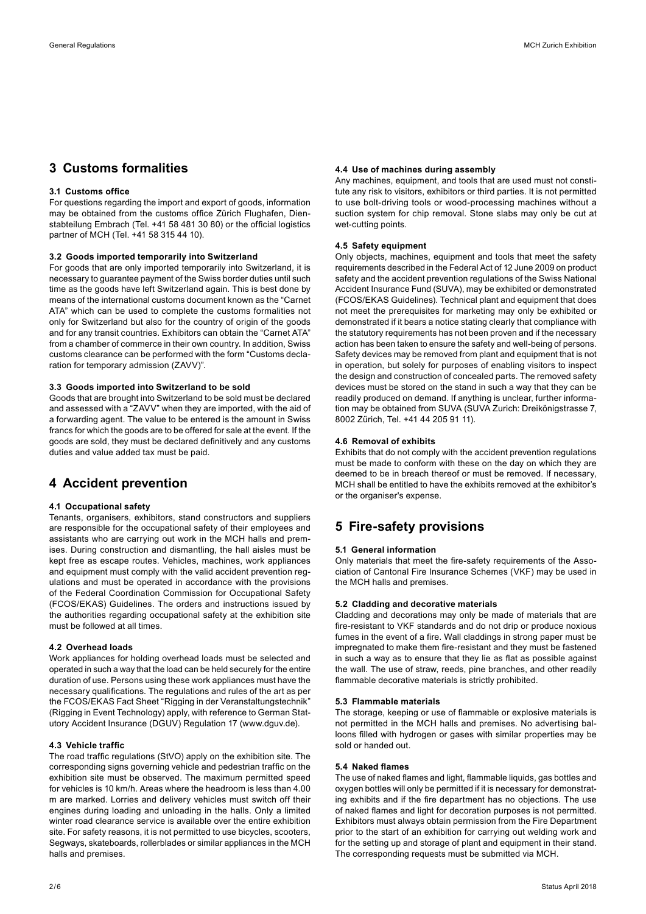# **3 Customs formalities**

#### **3.1 Customs office**

For questions regarding the import and export of goods, information may be obtained from the customs office Zürich Flughafen, Dienstabteilung Embrach (Tel. +41 58 481 30 80) or the official logistics partner of MCH (Tel. +41 58 315 44 10).

#### **3.2 Goods imported temporarily into Switzerland**

For goods that are only imported temporarily into Switzerland, it is necessary to guarantee payment of the Swiss border duties until such time as the goods have left Switzerland again. This is best done by means of the international customs document known as the "Carnet ATA" which can be used to complete the customs formalities not only for Switzerland but also for the country of origin of the goods and for any transit countries. Exhibitors can obtain the "Carnet ATA" from a chamber of commerce in their own country. In addition, Swiss customs clearance can be performed with the form "Customs declaration for temporary admission (ZAVV)".

#### **3.3 Goods imported into Switzerland to be sold**

Goods that are brought into Switzerland to be sold must be declared and assessed with a "ZAVV" when they are imported, with the aid of a forwarding agent. The value to be entered is the amount in Swiss francs for which the goods are to be offered for sale at the event. If the goods are sold, they must be declared definitively and any customs duties and value added tax must be paid.

# **4 Accident prevention**

#### **4.1 Occupational safety**

Tenants, organisers, exhibitors, stand constructors and suppliers are responsible for the occupational safety of their employees and assistants who are carrying out work in the MCH halls and premises. During construction and dismantling, the hall aisles must be kept free as escape routes. Vehicles, machines, work appliances and equipment must comply with the valid accident prevention regulations and must be operated in accordance with the provisions of the Federal Coordination Commission for Occupational Safety (FCOS/EKAS) Guidelines. The orders and instructions issued by the authorities regarding occupational safety at the exhibition site must be followed at all times.

#### **4.2 Overhead loads**

Work appliances for holding overhead loads must be selected and operated in such a way that the load can be held securely for the entire duration of use. Persons using these work appliances must have the necessary qualifications. The regulations and rules of the art as per the FCOS/EKAS Fact Sheet "Rigging in der Veranstaltungstechnik" (Rigging in Event Technology) apply, with reference to German Statutory Accident Insurance (DGUV) Regulation 17 (www.dguv.de).

#### **4.3 Vehicle traffic**

The road traffic regulations (StVO) apply on the exhibition site. The corresponding signs governing vehicle and pedestrian traffic on the exhibition site must be observed. The maximum permitted speed for vehicles is 10 km/h. Areas where the headroom is less than 4.00 m are marked. Lorries and delivery vehicles must switch off their engines during loading and unloading in the halls. Only a limited winter road clearance service is available over the entire exhibition site. For safety reasons, it is not permitted to use bicycles, scooters, Segways, skateboards, rollerblades or similar appliances in the MCH halls and premises.

#### **4.4 Use of machines during assembly**

Any machines, equipment, and tools that are used must not constitute any risk to visitors, exhibitors or third parties. It is not permitted to use bolt-driving tools or wood-processing machines without a suction system for chip removal. Stone slabs may only be cut at wet-cutting points.

#### **4.5 Safety equipment**

Only objects, machines, equipment and tools that meet the safety requirements described in the Federal Act of 12 June 2009 on product safety and the accident prevention regulations of the Swiss National Accident Insurance Fund (SUVA), may be exhibited or demonstrated (FCOS/EKAS Guidelines). Technical plant and equipment that does not meet the prerequisites for marketing may only be exhibited or demonstrated if it bears a notice stating clearly that compliance with the statutory requirements has not been proven and if the necessary action has been taken to ensure the safety and well-being of persons. Safety devices may be removed from plant and equipment that is not in operation, but solely for purposes of enabling visitors to inspect the design and construction of concealed parts. The removed safety devices must be stored on the stand in such a way that they can be readily produced on demand. If anything is unclear, further information may be obtained from SUVA (SUVA Zurich: Dreikönigstrasse 7, 8002 Zürich, Tel. +41 44 205 91 11).

#### **4.6 Removal of exhibits**

Exhibits that do not comply with the accident prevention regulations must be made to conform with these on the day on which they are deemed to be in breach thereof or must be removed. If necessary, MCH shall be entitled to have the exhibits removed at the exhibitor's or the organiser's expense.

### **5 Fire-safety provisions**

#### **5.1 General information**

Only materials that meet the fire-safety requirements of the Association of Cantonal Fire Insurance Schemes (VKF) may be used in the MCH halls and premises.

#### **5.2 Cladding and decorative materials**

Cladding and decorations may only be made of materials that are fire-resistant to VKF standards and do not drip or produce noxious fumes in the event of a fire. Wall claddings in strong paper must be impregnated to make them fire-resistant and they must be fastened in such a way as to ensure that they lie as flat as possible against the wall. The use of straw, reeds, pine branches, and other readily flammable decorative materials is strictly prohibited.

#### **5.3 Flammable materials**

The storage, keeping or use of flammable or explosive materials is not permitted in the MCH halls and premises. No advertising balloons filled with hydrogen or gases with similar properties may be sold or handed out.

#### **5.4 Naked flames**

The use of naked flames and light, flammable liquids, gas bottles and oxygen bottles will only be permitted if it is necessary for demonstrating exhibits and if the fire department has no objections. The use of naked flames and light for decoration purposes is not permitted. Exhibitors must always obtain permission from the Fire Department prior to the start of an exhibition for carrying out welding work and for the setting up and storage of plant and equipment in their stand. The corresponding requests must be submitted via MCH.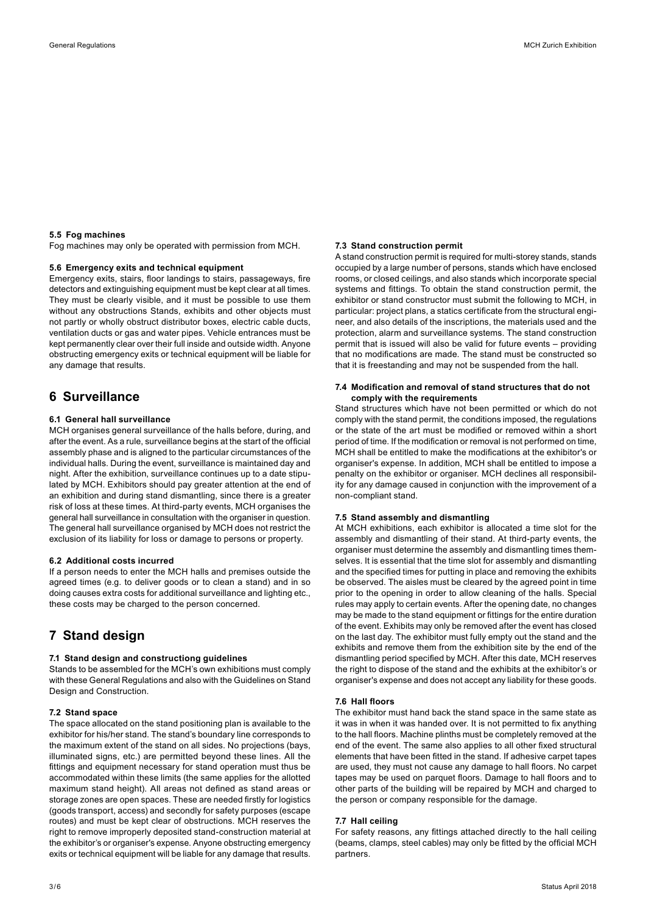#### **5.5 Fog machines**

Fog machines may only be operated with permission from MCH.

#### **5.6 Emergency exits and technical equipment**

Emergency exits, stairs, floor landings to stairs, passageways, fire detectors and extinguishing equipment must be kept clear at all times. They must be clearly visible, and it must be possible to use them without any obstructions Stands, exhibits and other objects must not partly or wholly obstruct distributor boxes, electric cable ducts, ventilation ducts or gas and water pipes. Vehicle entrances must be kept permanently clear over their full inside and outside width. Anyone obstructing emergency exits or technical equipment will be liable for any damage that results.

### **6 Surveillance**

#### **6.1 General hall surveillance**

MCH organises general surveillance of the halls before, during, and after the event. As a rule, surveillance begins at the start of the official assembly phase and is aligned to the particular circumstances of the individual halls. During the event, surveillance is maintained day and night. After the exhibition, surveillance continues up to a date stipulated by MCH. Exhibitors should pay greater attention at the end of an exhibition and during stand dismantling, since there is a greater risk of loss at these times. At third-party events, MCH organises the general hall surveillance in consultation with the organiser in question. The general hall surveillance organised by MCH does not restrict the exclusion of its liability for loss or damage to persons or property.

#### **6.2 Additional costs incurred**

If a person needs to enter the MCH halls and premises outside the agreed times (e.g. to deliver goods or to clean a stand) and in so doing causes extra costs for additional surveillance and lighting etc., these costs may be charged to the person concerned.

# **7 Stand design**

#### **7.1 Stand design and constructiong guidelines**

Stands to be assembled for the MCH's own exhibitions must comply with these General Regulations and also with the Guidelines on Stand Design and Construction.

#### **7.2 Stand space**

The space allocated on the stand positioning plan is available to the exhibitor for his/her stand. The stand's boundary line corresponds to the maximum extent of the stand on all sides. No projections (bays, illuminated signs, etc.) are permitted beyond these lines. All the fittings and equipment necessary for stand operation must thus be accommodated within these limits (the same applies for the allotted maximum stand height). All areas not defined as stand areas or storage zones are open spaces. These are needed firstly for logistics (goods transport, access) and secondly for safety purposes (escape routes) and must be kept clear of obstructions. MCH reserves the right to remove improperly deposited stand-construction material at the exhibitor's or organiser's expense. Anyone obstructing emergency exits or technical equipment will be liable for any damage that results.

#### **7.3 Stand construction permit**

A stand construction permit is required for multi-storey stands, stands occupied by a large number of persons, stands which have enclosed rooms, or closed ceilings, and also stands which incorporate special systems and fittings. To obtain the stand construction permit, the exhibitor or stand constructor must submit the following to MCH, in particular: project plans, a statics certificate from the structural engineer, and also details of the inscriptions, the materials used and the protection, alarm and surveillance systems. The stand construction permit that is issued will also be valid for future events – providing that no modifications are made. The stand must be constructed so that it is freestanding and may not be suspended from the hall.

#### **7.4 Modification and removal of stand structures that do not comply with the requirements**

Stand structures which have not been permitted or which do not comply with the stand permit, the conditions imposed, the regulations or the state of the art must be modified or removed within a short period of time. If the modification or removal is not performed on time, MCH shall be entitled to make the modifications at the exhibitor's or organiser's expense. In addition, MCH shall be entitled to impose a penalty on the exhibitor or organiser. MCH declines all responsibility for any damage caused in conjunction with the improvement of a non-compliant stand.

#### **7.5 Stand assembly and dismantling**

At MCH exhibitions, each exhibitor is allocated a time slot for the assembly and dismantling of their stand. At third-party events, the organiser must determine the assembly and dismantling times themselves. It is essential that the time slot for assembly and dismantling and the specified times for putting in place and removing the exhibits be observed. The aisles must be cleared by the agreed point in time prior to the opening in order to allow cleaning of the halls. Special rules may apply to certain events. After the opening date, no changes may be made to the stand equipment or fittings for the entire duration of the event. Exhibits may only be removed after the event has closed on the last day. The exhibitor must fully empty out the stand and the exhibits and remove them from the exhibition site by the end of the dismantling period specified by MCH. After this date, MCH reserves the right to dispose of the stand and the exhibits at the exhibitor's or organiser's expense and does not accept any liability for these goods.

#### **7.6 Hall floors**

The exhibitor must hand back the stand space in the same state as it was in when it was handed over. It is not permitted to fix anything to the hall floors. Machine plinths must be completely removed at the end of the event. The same also applies to all other fixed structural elements that have been fitted in the stand. If adhesive carpet tapes are used, they must not cause any damage to hall floors. No carpet tapes may be used on parquet floors. Damage to hall floors and to other parts of the building will be repaired by MCH and charged to the person or company responsible for the damage.

#### **7.7 Hall ceiling**

For safety reasons, any fittings attached directly to the hall ceiling (beams, clamps, steel cables) may only be fitted by the official MCH partners.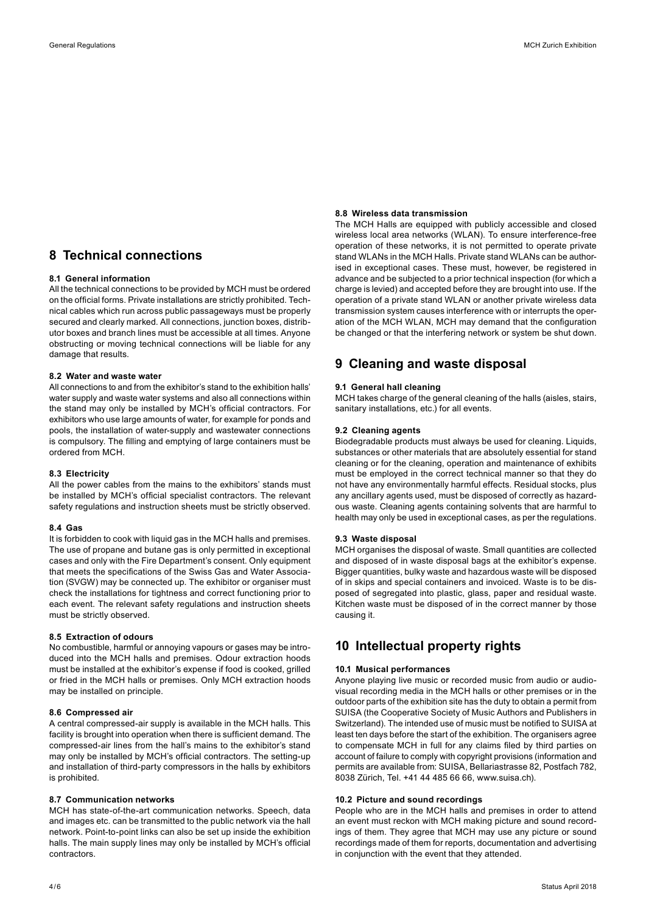# **8 Technical connections**

#### **8.1 General information**

All the technical connections to be provided by MCH must be ordered on the official forms. Private installations are strictly prohibited. Technical cables which run across public passageways must be properly secured and clearly marked. All connections, junction boxes, distributor boxes and branch lines must be accessible at all times. Anyone obstructing or moving technical connections will be liable for any damage that results.

#### **8.2 Water and waste water**

All connections to and from the exhibitor's stand to the exhibition halls' water supply and waste water systems and also all connections within the stand may only be installed by MCH's official contractors. For exhibitors who use large amounts of water, for example for ponds and pools, the installation of water-supply and wastewater connections is compulsory. The filling and emptying of large containers must be ordered from MCH.

#### **8.3 Electricity**

All the power cables from the mains to the exhibitors' stands must be installed by MCH's official specialist contractors. The relevant safety regulations and instruction sheets must be strictly observed.

#### **8.4 Gas**

It is forbidden to cook with liquid gas in the MCH halls and premises. The use of propane and butane gas is only permitted in exceptional cases and only with the Fire Department's consent. Only equipment that meets the specifications of the Swiss Gas and Water Association (SVGW) may be connected up. The exhibitor or organiser must check the installations for tightness and correct functioning prior to each event. The relevant safety regulations and instruction sheets must be strictly observed.

#### **8.5 Extraction of odours**

No combustible, harmful or annoying vapours or gases may be introduced into the MCH halls and premises. Odour extraction hoods must be installed at the exhibitor's expense if food is cooked, grilled or fried in the MCH halls or premises. Only MCH extraction hoods may be installed on principle.

#### **8.6 Compressed air**

A central compressed-air supply is available in the MCH halls. This facility is brought into operation when there is sufficient demand. The compressed-air lines from the hall's mains to the exhibitor's stand may only be installed by MCH's official contractors. The setting-up and installation of third-party compressors in the halls by exhibitors is prohibited.

#### **8.7 Communication networks**

MCH has state-of-the-art communication networks. Speech, data and images etc. can be transmitted to the public network via the hall network. Point-to-point links can also be set up inside the exhibition halls. The main supply lines may only be installed by MCH's official contractors.

#### **8.8 Wireless data transmission**

The MCH Halls are equipped with publicly accessible and closed wireless local area networks (WLAN). To ensure interference-free operation of these networks, it is not permitted to operate private stand WLANs in the MCH Halls. Private stand WLANs can be authorised in exceptional cases. These must, however, be registered in advance and be subjected to a prior technical inspection (for which a charge is levied) and accepted before they are brought into use. If the operation of a private stand WLAN or another private wireless data transmission system causes interference with or interrupts the operation of the MCH WLAN, MCH may demand that the configuration be changed or that the interfering network or system be shut down.

### **9 Cleaning and waste disposal**

#### **9.1 General hall cleaning**

MCH takes charge of the general cleaning of the halls (aisles, stairs, sanitary installations, etc.) for all events.

#### **9.2 Cleaning agents**

Biodegradable products must always be used for cleaning. Liquids, substances or other materials that are absolutely essential for stand cleaning or for the cleaning, operation and maintenance of exhibits must be employed in the correct technical manner so that they do not have any environmentally harmful effects. Residual stocks, plus any ancillary agents used, must be disposed of correctly as hazardous waste. Cleaning agents containing solvents that are harmful to health may only be used in exceptional cases, as per the regulations.

#### **9.3 Waste disposal**

MCH organises the disposal of waste. Small quantities are collected and disposed of in waste disposal bags at the exhibitor's expense. Bigger quantities, bulky waste and hazardous waste will be disposed of in skips and special containers and invoiced. Waste is to be disposed of segregated into plastic, glass, paper and residual waste. Kitchen waste must be disposed of in the correct manner by those causing it.

### **10 Intellectual property rights**

#### **10.1 Musical performances**

Anyone playing live music or recorded music from audio or audiovisual recording media in the MCH halls or other premises or in the outdoor parts of the exhibition site has the duty to obtain a permit from SUISA (the Cooperative Society of Music Authors and Publishers in Switzerland). The intended use of music must be notified to SUISA at least ten days before the start of the exhibition. The organisers agree to compensate MCH in full for any claims filed by third parties on account of failure to comply with copyright provisions (information and permits are available from: SUISA, Bellariastrasse 82, Postfach 782, 8038 Zürich, Tel. +41 44 485 66 66, www.suisa.ch).

#### **10.2 Picture and sound recordings**

People who are in the MCH halls and premises in order to attend an event must reckon with MCH making picture and sound recordings of them. They agree that MCH may use any picture or sound recordings made of them for reports, documentation and advertising in conjunction with the event that they attended.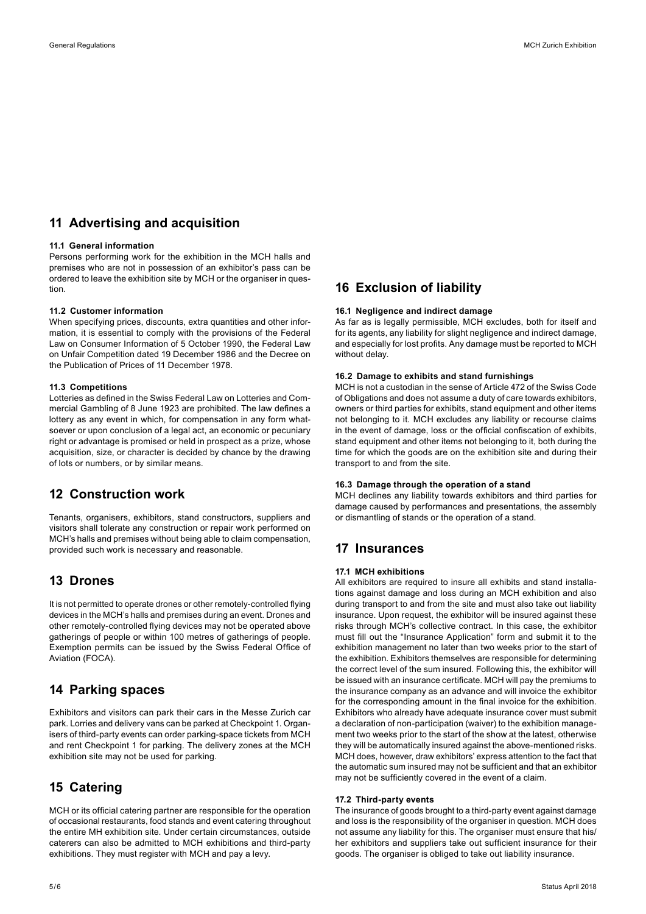# **11 Advertising and acquisition**

#### **11.1 General information**

Persons performing work for the exhibition in the MCH halls and premises who are not in possession of an exhibitor's pass can be ordered to leave the exhibition site by MCH or the organiser in question.

#### **11.2 Customer information**

When specifying prices, discounts, extra quantities and other information, it is essential to comply with the provisions of the Federal Law on Consumer Information of 5 October 1990, the Federal Law on Unfair Competition dated 19 December 1986 and the Decree on the Publication of Prices of 11 December 1978.

#### **11.3 Competitions**

Lotteries as defined in the Swiss Federal Law on Lotteries and Commercial Gambling of 8 June 1923 are prohibited. The law defines a lottery as any event in which, for compensation in any form whatsoever or upon conclusion of a legal act, an economic or pecuniary right or advantage is promised or held in prospect as a prize, whose acquisition, size, or character is decided by chance by the drawing of lots or numbers, or by similar means.

### **12 Construction work**

Tenants, organisers, exhibitors, stand constructors, suppliers and visitors shall tolerate any construction or repair work performed on MCH's halls and premises without being able to claim compensation, provided such work is necessary and reasonable.

# **13 Drones**

It is not permitted to operate drones or other remotely-controlled flying devices in the MCH's halls and premises during an event. Drones and other remotely-controlled flying devices may not be operated above gatherings of people or within 100 metres of gatherings of people. Exemption permits can be issued by the Swiss Federal Office of Aviation (FOCA).

### **14 Parking spaces**

Exhibitors and visitors can park their cars in the Messe Zurich car park. Lorries and delivery vans can be parked at Checkpoint 1. Organisers of third-party events can order parking-space tickets from MCH and rent Checkpoint 1 for parking. The delivery zones at the MCH exhibition site may not be used for parking.

# **15 Catering**

MCH or its official catering partner are responsible for the operation of occasional restaurants, food stands and event catering throughout the entire MH exhibition site. Under certain circumstances, outside caterers can also be admitted to MCH exhibitions and third-party exhibitions. They must register with MCH and pay a levy.

### **16 Exclusion of liability**

#### **16.1 Negligence and indirect damage**

As far as is legally permissible, MCH excludes, both for itself and for its agents, any liability for slight negligence and indirect damage, and especially for lost profits. Any damage must be reported to MCH without delay.

### **16.2 Damage to exhibits and stand furnishings**

MCH is not a custodian in the sense of Article 472 of the Swiss Code of Obligations and does not assume a duty of care towards exhibitors, owners or third parties for exhibits, stand equipment and other items not belonging to it. MCH excludes any liability or recourse claims in the event of damage, loss or the official confiscation of exhibits, stand equipment and other items not belonging to it, both during the time for which the goods are on the exhibition site and during their transport to and from the site.

#### **16.3 Damage through the operation of a stand**

MCH declines any liability towards exhibitors and third parties for damage caused by performances and presentations, the assembly or dismantling of stands or the operation of a stand.

### **17 Insurances**

#### **17.1 MCH exhibitions**

All exhibitors are required to insure all exhibits and stand installations against damage and loss during an MCH exhibition and also during transport to and from the site and must also take out liability insurance. Upon request, the exhibitor will be insured against these risks through MCH's collective contract. In this case, the exhibitor must fill out the "Insurance Application" form and submit it to the exhibition management no later than two weeks prior to the start of the exhibition. Exhibitors themselves are responsible for determining the correct level of the sum insured. Following this, the exhibitor will be issued with an insurance certificate. MCH will pay the premiums to the insurance company as an advance and will invoice the exhibitor for the corresponding amount in the final invoice for the exhibition. Exhibitors who already have adequate insurance cover must submit a declaration of non-participation (waiver) to the exhibition management two weeks prior to the start of the show at the latest, otherwise they will be automatically insured against the above-mentioned risks. MCH does, however, draw exhibitors' express attention to the fact that the automatic sum insured may not be sufficient and that an exhibitor may not be sufficiently covered in the event of a claim.

#### **17.2 Third-party events**

The insurance of goods brought to a third-party event against damage and loss is the responsibility of the organiser in question. MCH does not assume any liability for this. The organiser must ensure that his/ her exhibitors and suppliers take out sufficient insurance for their goods. The organiser is obliged to take out liability insurance.